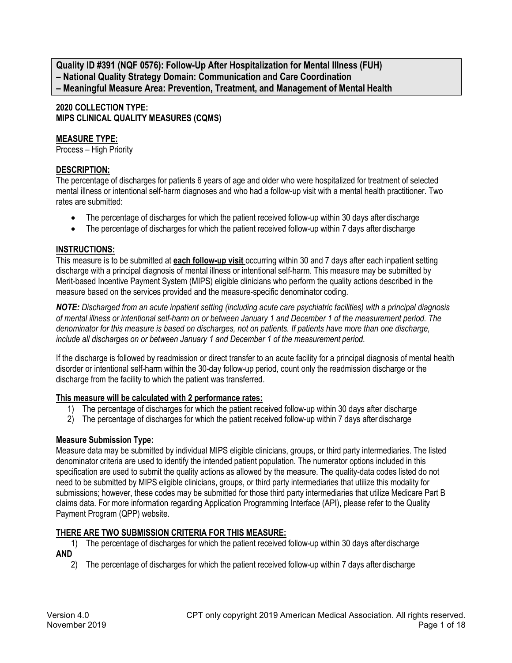**Quality ID #391 (NQF 0576): Follow-Up After Hospitalization for Mental Illness (FUH) – National Quality Strategy Domain: Communication and Care Coordination – Meaningful Measure Area: Prevention, Treatment, and Management of Mental Health**

# **2020 COLLECTION TYPE: MIPS CLINICAL QUALITY MEASURES (CQMS)**

# **MEASURE TYPE:**

Process – High Priority

# **DESCRIPTION:**

The percentage of discharges for patients 6 years of age and older who were hospitalized for treatment of selected mental illness or intentional self-harm diagnoses and who had a follow-up visit with a mental health practitioner. Two rates are submitted:

- The percentage of discharges for which the patient received follow-up within 30 days after discharge
- The percentage of discharges for which the patient received follow-up within 7 days after discharge

# **INSTRUCTIONS:**

This measure is to be submitted at **each follow-up visit** occurring within 30 and 7 days after each inpatient setting discharge with a principal diagnosis of mental illness or intentional self-harm. This measure may be submitted by Merit-based Incentive Payment System (MIPS) eligible clinicians who perform the quality actions described in the measure based on the services provided and the measure-specific denominator coding.

*NOTE: Discharged from an acute inpatient setting (including acute care psychiatric facilities) with a principal diagnosis of mental illness or intentional self-harm on or between January 1 and December 1 of the measurement period. The denominator for this measure is based on discharges, not on patients. If patients have more than one discharge, include all discharges on or between January 1 and December 1 of the measurement period.*

If the discharge is followed by readmission or direct transfer to an acute facility for a principal diagnosis of mental health disorder or intentional self-harm within the 30-day follow-up period, count only the readmission discharge or the discharge from the facility to which the patient was transferred.

# **This measure will be calculated with 2 performance rates:**

- 1) The percentage of discharges for which the patient received follow-up within 30 days after discharge
- 2) The percentage of discharges for which the patient received follow-up within 7 days after discharge

# **Measure Submission Type:**

Measure data may be submitted by individual MIPS eligible clinicians, groups, or third party intermediaries. The listed denominator criteria are used to identify the intended patient population. The numerator options included in this specification are used to submit the quality actions as allowed by the measure. The quality-data codes listed do not need to be submitted by MIPS eligible clinicians, groups, or third party intermediaries that utilize this modality for submissions; however, these codes may be submitted for those third party intermediaries that utilize Medicare Part B claims data. For more information regarding Application Programming Interface (API), please refer to the Quality Payment Program (QPP) website.

# **THERE ARE TWO SUBMISSION CRITERIA FOR THIS MEASURE:**

- 1) The percentage of discharges for which the patient received follow-up within 30 days afterdischarge **AND**
	- 2) The percentage of discharges for which the patient received follow-up within 7 days afterdischarge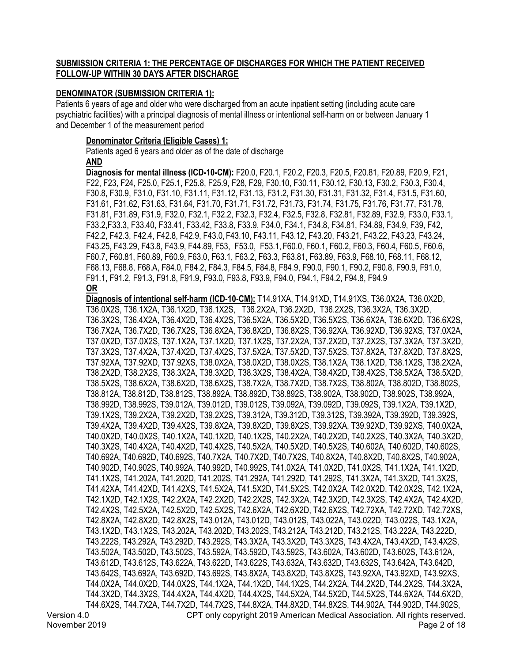# **SUBMISSION CRITERIA 1: THE PERCENTAGE OF DISCHARGES FOR WHICH THE PATIENT RECEIVED FOLLOW-UP WITHIN 30 DAYS AFTER DISCHARGE**

# **DENOMINATOR (SUBMISSION CRITERIA 1):**

Patients 6 years of age and older who were discharged from an acute inpatient setting (including acute care psychiatric facilities) with a principal diagnosis of mental illness or intentional self-harm on or between January 1 and December 1 of the measurement period

### **Denominator Criteria (Eligible Cases) 1:**

Patients aged 6 years and older as of the date of discharge **AND**

**Diagnosis for mental illness (ICD-10-CM):** F20.0, F20.1, F20.2, F20.3, F20.5, F20.81, F20.89, F20.9, F21, F22, F23, F24, F25.0, F25.1, F25.8, F25.9, F28, F29, F30.10, F30.11, F30.12, F30.13, F30.2, F30.3, F30.4, F30.8, F30.9, F31.0, F31.10, F31.11, F31.12, F31.13, F31.2, F31.30, F31.31, F31.32, F31.4, F31.5, F31.60, F31.61, F31.62, F31.63, F31.64, F31.70, F31.71, F31.72, F31.73, F31.74, F31.75, F31.76, F31.77, F31.78, F31.81, F31.89, F31.9, F32.0, F32.1, F32.2, F32.3, F32.4, F32.5, F32.8, F32.81, F32.89, F32.9, F33.0, F33.1, F33.2,F33.3, F33.40, F33.41, F33.42, F33.8, F33.9, F34.0, F34.1, F34.8, F34.81, F34.89, F34.9, F39, F42, F42.2, F42.3, F42.4, F42.8, F42.9, F43.0, F43.10, F43.11, F43.12, F43.20, F43.21, F43.22, F43.23, F43.24, F43.25, F43.29, F43.8, F43.9, F44.89, F53, F53.0, F53.1, F60.0, F60.1, F60.2, F60.3, F60.4, F60.5, F60.6, F60.7, F60.81, F60.89, F60.9, F63.0, F63.1, F63.2, F63.3, F63.81, F63.89, F63.9, F68.10, F68.11, F68.12, F68.13, F68.8, F68.A, F84.0, F84.2, F84.3, F84.5, F84.8, F84.9, F90.0, F90.1, F90.2, F90.8, F90.9, F91.0, F91.1, F91.2, F91.3, F91.8, F91.9, F93.0, F93.8, F93.9, F94.0, F94.1, F94.2, F94.8, F94.9 **OR**

Version 4.0 CPT only copyright 2019 American Medical Association. All rights reserved. November 2019 Page 2 of 18 **Diagnosis of intentional self-harm (ICD-10-CM):** T14.91XA, T14.91XD, T14.91XS, T36.0X2A, T36.0X2D, T36.0X2S, T36.1X2A, T36.1X2D, T36.1X2S, T36.2X2A, T36.2X2D, T36.2X2S, T36.3X2A, T36.3X2D, T36.3X2S, T36.4X2A, T36.4X2D, T36.4X2S, T36.5X2A, T36.5X2D, T36.5X2S, T36.6X2A, T36.6X2D, T36.6X2S, T36.7X2A, T36.7X2D, T36.7X2S, T36.8X2A, T36.8X2D, T36.8X2S, T36.92XA, T36.92XD, T36.92XS, T37.0X2A, T37.0X2D, T37.0X2S, T37.1X2A, T37.1X2D, T37.1X2S, T37.2X2A, T37.2X2D, T37.2X2S, T37.3X2A, T37.3X2D, T37.3X2S, T37.4X2A, T37.4X2D, T37.4X2S, T37.5X2A, T37.5X2D, T37.5X2S, T37.8X2A, T37.8X2D, T37.8X2S, T37.92XA, T37.92XD, T37.92XS, T38.0X2A, T38.0X2D, T38.0X2S, T38.1X2A, T38.1X2D, T38.1X2S, T38.2X2A, T38.2X2D, T38.2X2S, T38.3X2A, T38.3X2D, T38.3X2S, T38.4X2A, T38.4X2D, T38.4X2S, T38.5X2A, T38.5X2D, T38.5X2S, T38.6X2A, T38.6X2D, T38.6X2S, T38.7X2A, T38.7X2D, T38.7X2S, T38.802A, T38.802D, T38.802S, T38.812A, T38.812D, T38.812S, T38.892A, T38.892D, T38.892S, T38.902A, T38.902D, T38.902S, T38.992A, T38.992D, T38.992S, T39.012A, T39.012D, T39.012S, T39.092A, T39.092D, T39.092S, T39.1X2A, T39.1X2D, T39.1X2S, T39.2X2A, T39.2X2D, T39.2X2S, T39.312A, T39.312D, T39.312S, T39.392A, T39.392D, T39.392S, T39.4X2A, T39.4X2D, T39.4X2S, T39.8X2A, T39.8X2D, T39.8X2S, T39.92XA, T39.92XD, T39.92XS, T40.0X2A, T40.0X2D, T40.0X2S, T40.1X2A, T40.1X2D, T40.1X2S, T40.2X2A, T40.2X2D, T40.2X2S, T40.3X2A, T40.3X2D, T40.3X2S, T40.4X2A, T40.4X2D, T40.4X2S, T40.5X2A, T40.5X2D, T40.5X2S, T40.602A, T40.602D, T40.602S, T40.692A, T40.692D, T40.692S, T40.7X2A, T40.7X2D, T40.7X2S, T40.8X2A, T40.8X2D, T40.8X2S, T40.902A, T40.902D, T40.902S, T40.992A, T40.992D, T40.992S, T41.0X2A, T41.0X2D, T41.0X2S, T41.1X2A, T41.1X2D, T41.1X2S, T41.202A, T41.202D, T41.202S, T41.292A, T41.292D, T41.292S, T41.3X2A, T41.3X2D, T41.3X2S, T41.42XA, T41.42XD, T41.42XS, T41.5X2A, T41.5X2D, T41.5X2S, T42.0X2A, T42.0X2D, T42.0X2S, T42.1X2A, T42.1X2D, T42.1X2S, T42.2X2A, T42.2X2D, T42.2X2S, T42.3X2A, T42.3X2D, T42.3X2S, T42.4X2A, T42.4X2D, T42.4X2S, T42.5X2A, T42.5X2D, T42.5X2S, T42.6X2A, T42.6X2D, T42.6X2S, T42.72XA, T42.72XD, T42.72XS, T42.8X2A, T42.8X2D, T42.8X2S, T43.012A, T43.012D, T43.012S, T43.022A, T43.022D, T43.022S, T43.1X2A, T43.1X2D, T43.1X2S, T43.202A, T43.202D, T43.202S, T43.212A, T43.212D, T43.212S, T43.222A, T43.222D, T43.222S, T43.292A, T43.292D, T43.292S, T43.3X2A, T43.3X2D, T43.3X2S, T43.4X2A, T43.4X2D, T43.4X2S, T43.502A, T43.502D, T43.502S, T43.592A, T43.592D, T43.592S, T43.602A, T43.602D, T43.602S, T43.612A, T43.612D, T43.612S, T43.622A, T43.622D, T43.622S, T43.632A, T43.632D, T43.632S, T43.642A, T43.642D, T43.642S, T43.692A, T43.692D, T43.692S, T43.8X2A, T43.8X2D, T43.8X2S, T43.92XA, T43.92XD, T43.92XS, T44.0X2A, T44.0X2D, T44.0X2S, T44.1X2A, T44.1X2D, T44.1X2S, T44.2X2A, T44.2X2D, T44.2X2S, T44.3X2A, T44.3X2D, T44.3X2S, T44.4X2A, T44.4X2D, T44.4X2S, T44.5X2A, T44.5X2D, T44.5X2S, T44.6X2A, T44.6X2D, T44.6X2S, T44.7X2A, T44.7X2D, T44.7X2S, T44.8X2A, T44.8X2D, T44.8X2S, T44.902A, T44.902D, T44.902S,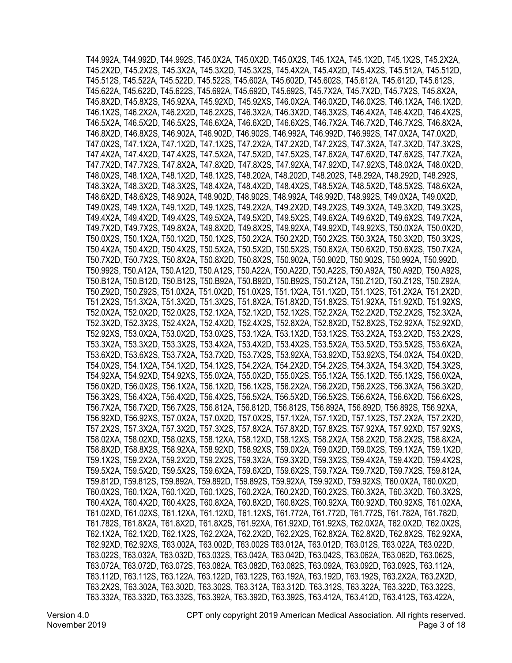T44.992A, T44.992D, T44.992S, T45.0X2A, T45.0X2D, T45.0X2S, T45.1X2A, T45.1X2D, T45.1X2S, T45.2X2A, T45.2X2D, T45.2X2S, T45.3X2A, T45.3X2D, T45.3X2S, T45.4X2A, T45.4X2D, T45.4X2S, T45.512A, T45.512D, T45.512S, T45.522A, T45.522D, T45.522S, T45.602A, T45.602D, T45.602S, T45.612A, T45.612D, T45.612S, T45.622A, T45.622D, T45.622S, T45.692A, T45.692D, T45.692S, T45.7X2A, T45.7X2D, T45.7X2S, T45.8X2A, T45.8X2D, T45.8X2S, T45.92XA, T45.92XD, T45.92XS, T46.0X2A, T46.0X2D, T46.0X2S, T46.1X2A, T46.1X2D, T46.1X2S, T46.2X2A, T46.2X2D, T46.2X2S, T46.3X2A, T46.3X2D, T46.3X2S, T46.4X2A, T46.4X2D, T46.4X2S, T46.5X2A, T46.5X2D, T46.5X2S, T46.6X2A, T46.6X2D, T46.6X2S, T46.7X2A, T46.7X2D, T46.7X2S, T46.8X2A, T46.8X2D, T46.8X2S, T46.902A, T46.902D, T46.902S, T46.992A, T46.992D, T46.992S, T47.0X2A, T47.0X2D, T47.0X2S, T47.1X2A, T47.1X2D, T47.1X2S, T47.2X2A, T47.2X2D, T47.2X2S, T47.3X2A, T47.3X2D, T47.3X2S, T47.4X2A, T47.4X2D, T47.4X2S, T47.5X2A, T47.5X2D, T47.5X2S, T47.6X2A, T47.6X2D, T47.6X2S, T47.7X2A, T47.7X2D, T47.7X2S, T47.8X2A, T47.8X2D, T47.8X2S, T47.92XA, T47.92XD, T47.92XS, T48.0X2A, T48.0X2D, T48.0X2S, T48.1X2A, T48.1X2D, T48.1X2S, T48.202A, T48.202D, T48.202S, T48.292A, T48.292D, T48.292S, T48.3X2A, T48.3X2D, T48.3X2S, T48.4X2A, T48.4X2D, T48.4X2S, T48.5X2A, T48.5X2D, T48.5X2S, T48.6X2A, T48.6X2D, T48.6X2S, T48.902A, T48.902D, T48.902S, T48.992A, T48.992D, T48.992S, T49.0X2A, T49.0X2D, T49.0X2S, T49.1X2A, T49.1X2D, T49.1X2S, T49.2X2A, T49.2X2D, T49.2X2S, T49.3X2A, T49.3X2D, T49.3X2S, T49.4X2A, T49.4X2D, T49.4X2S, T49.5X2A, T49.5X2D, T49.5X2S, T49.6X2A, T49.6X2D, T49.6X2S, T49.7X2A, T49.7X2D, T49.7X2S, T49.8X2A, T49.8X2D, T49.8X2S, T49.92XA, T49.92XD, T49.92XS, T50.0X2A, T50.0X2D, T50.0X2S, T50.1X2A, T50.1X2D, T50.1X2S, T50.2X2A, T50.2X2D, T50.2X2S, T50.3X2A, T50.3X2D, T50.3X2S, T50.4X2A, T50.4X2D, T50.4X2S, T50.5X2A, T50.5X2D, T50.5X2S, T50.6X2A, T50.6X2D, T50.6X2S, T50.7X2A, T50.7X2D, T50.7X2S, T50.8X2A, T50.8X2D, T50.8X2S, T50.902A, T50.902D, T50.902S, T50.992A, T50.992D, T50.992S, T50.A12A, T50.A12D, T50.A12S, T50.A22A, T50.A22D, T50.A22S, T50.A92A, T50.A92D, T50.A92S, T50.B12A, T50.B12D, T50.B12S, T50.B92A, T50.B92D, T50.B92S, T50.Z12A, T50.Z12D, T50.Z12S, T50.Z92A, T50.Z92D, T50.Z92S, T51.0X2A, T51.0X2D, T51.0X2S, T51.1X2A, T51.1X2D, T51.1X2S, T51.2X2A, T51.2X2D, T51.2X2S, T51.3X2A, T51.3X2D, T51.3X2S, T51.8X2A, T51.8X2D, T51.8X2S, T51.92XA, T51.92XD, T51.92XS, T52.0X2A, T52.0X2D, T52.0X2S, T52.1X2A, T52.1X2D, T52.1X2S, T52.2X2A, T52.2X2D, T52.2X2S, T52.3X2A, T52.3X2D, T52.3X2S, T52.4X2A, T52.4X2D, T52.4X2S, T52.8X2A, T52.8X2D, T52.8X2S, T52.92XA, T52.92XD, T52.92XS, T53.0X2A, T53.0X2D, T53.0X2S, T53.1X2A, T53.1X2D, T53.1X2S, T53.2X2A, T53.2X2D, T53.2X2S, T53.3X2A, T53.3X2D, T53.3X2S, T53.4X2A, T53.4X2D, T53.4X2S, T53.5X2A, T53.5X2D, T53.5X2S, T53.6X2A, T53.6X2D, T53.6X2S, T53.7X2A, T53.7X2D, T53.7X2S, T53.92XA, T53.92XD, T53.92XS, T54.0X2A, T54.0X2D, T54.0X2S, T54.1X2A, T54.1X2D, T54.1X2S, T54.2X2A, T54.2X2D, T54.2X2S, T54.3X2A, T54.3X2D, T54.3X2S, T54.92XA, T54.92XD, T54.92XS, T55.0X2A, T55.0X2D, T55.0X2S, T55.1X2A, T55.1X2D, T55.1X2S, T56.0X2A, T56.0X2D, T56.0X2S, T56.1X2A, T56.1X2D, T56.1X2S, T56.2X2A, T56.2X2D, T56.2X2S, T56.3X2A, T56.3X2D, T56.3X2S, T56.4X2A, T56.4X2D, T56.4X2S, T56.5X2A, T56.5X2D, T56.5X2S, T56.6X2A, T56.6X2D, T56.6X2S, T56.7X2A, T56.7X2D, T56.7X2S, T56.812A, T56.812D, T56.812S, T56.892A, T56.892D, T56.892S, T56.92XA, T56.92XD, T56.92XS, T57.0X2A, T57.0X2D, T57.0X2S, T57.1X2A, T57.1X2D, T57.1X2S, T57.2X2A, T57.2X2D, T57.2X2S, T57.3X2A, T57.3X2D, T57.3X2S, T57.8X2A, T57.8X2D, T57.8X2S, T57.92XA, T57.92XD, T57.92XS, T58.02XA, T58.02XD, T58.02XS, T58.12XA, T58.12XD, T58.12XS, T58.2X2A, T58.2X2D, T58.2X2S, T58.8X2A, T58.8X2D, T58.8X2S, T58.92XA, T58.92XD, T58.92XS, T59.0X2A, T59.0X2D, T59.0X2S, T59.1X2A, T59.1X2D, T59.1X2S, T59.2X2A, T59.2X2D, T59.2X2S, T59.3X2A, T59.3X2D, T59.3X2S, T59.4X2A, T59.4X2D, T59.4X2S, T59.5X2A, T59.5X2D, T59.5X2S, T59.6X2A, T59.6X2D, T59.6X2S, T59.7X2A, T59.7X2D, T59.7X2S, T59.812A, T59.812D, T59.812S, T59.892A, T59.892D, T59.892S, T59.92XA, T59.92XD, T59.92XS, T60.0X2A, T60.0X2D, T60.0X2S, T60.1X2A, T60.1X2D, T60.1X2S, T60.2X2A, T60.2X2D, T60.2X2S, T60.3X2A, T60.3X2D, T60.3X2S, T60.4X2A, T60.4X2D, T60.4X2S, T60.8X2A, T60.8X2D, T60.8X2S, T60.92XA, T60.92XD, T60.92XS, T61.02XA, T61.02XD, T61.02XS, T61.12XA, T61.12XD, T61.12XS, T61.772A, T61.772D, T61.772S, T61.782A, T61.782D, T61.782S, T61.8X2A, T61.8X2D, T61.8X2S, T61.92XA, T61.92XD, T61.92XS, T62.0X2A, T62.0X2D, T62.0X2S, T62.1X2A, T62.1X2D, T62.1X2S, T62.2X2A, T62.2X2D, T62.2X2S, T62.8X2A, T62.8X2D, T62.8X2S, T62.92XA, T62.92XD, T62.92XS, T63.002A, T63.002D, T63.002S T63.012A, T63.012D, T63.012S, T63.022A, T63.022D, T63.022S, T63.032A, T63.032D, T63.032S, T63.042A, T63.042D, T63.042S, T63.062A, T63.062D, T63.062S, T63.072A, T63.072D, T63.072S, T63.082A, T63.082D, T63.082S, T63.092A, T63.092D, T63.092S, T63.112A, T63.112D, T63.112S, T63.122A, T63.122D, T63.122S, T63.192A, T63.192D, T63.192S, T63.2X2A, T63.2X2D, T63.2X2S, T63.302A, T63.302D, T63.302S, T63.312A, T63.312D, T63.312S, T63.322A, T63.322D, T63.322S, T63.332A, T63.332D, T63.332S, T63.392A, T63.392D, T63.392S, T63.412A, T63.412D, T63.412S, T63.422A,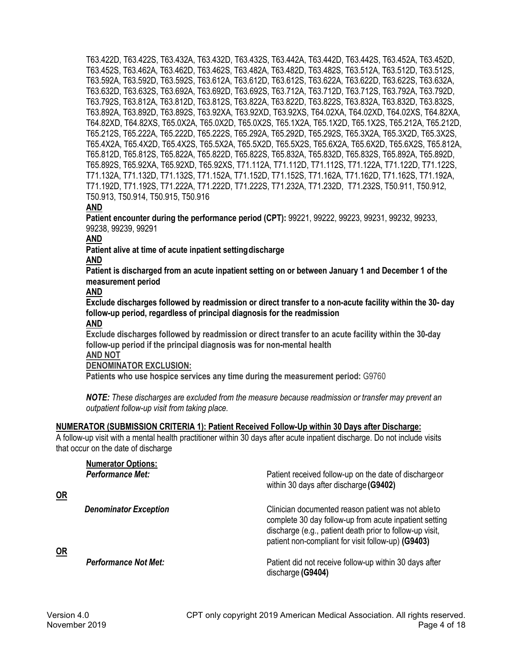T63.422D, T63.422S, T63.432A, T63.432D, T63.432S, T63.442A, T63.442D, T63.442S, T63.452A, T63.452D, T63.452S, T63.462A, T63.462D, T63.462S, T63.482A, T63.482D, T63.482S, T63.512A, T63.512D, T63.512S, T63.592A, T63.592D, T63.592S, T63.612A, T63.612D, T63.612S, T63.622A, T63.622D, T63.622S, T63.632A, T63.632D, T63.632S, T63.692A, T63.692D, T63.692S, T63.712A, T63.712D, T63.712S, T63.792A, T63.792D, T63.792S, T63.812A, T63.812D, T63.812S, T63.822A, T63.822D, T63.822S, T63.832A, T63.832D, T63.832S, T63.892A, T63.892D, T63.892S, T63.92XA, T63.92XD, T63.92XS, T64.02XA, T64.02XD, T64.02XS, T64.82XA, T64.82XD, T64.82XS, T65.0X2A, T65.0X2D, T65.0X2S, T65.1X2A, T65.1X2D, T65.1X2S, T65.212A, T65.212D, T65.212S, T65.222A, T65.222D, T65.222S, T65.292A, T65.292D, T65.292S, T65.3X2A, T65.3X2D, T65.3X2S, T65.4X2A, T65.4X2D, T65.4X2S, T65.5X2A, T65.5X2D, T65.5X2S, T65.6X2A, T65.6X2D, T65.6X2S, T65.812A, T65.812D, T65.812S, T65.822A, T65.822D, T65.822S, T65.832A, T65.832D, T65.832S, T65.892A, T65.892D, T65.892S, T65.92XA, T65.92XD, T65.92XS, T71.112A, T71.112D, T71.112S, T71.122A, T71.122D, T71.122S, T71.132A, T71.132D, T71.132S, T71.152A, T71.152D, T71.152S, T71.162A, T71.162D, T71.162S, T71.192A, T71.192D, T71.192S, T71.222A, T71.222D, T71.222S, T71.232A, T71.232D, T71.232S, T50.911, T50.912, T50.913, T50.914, T50.915, T50.916

# **AND**

**Patient encounter during the performance period (CPT):** 99221, 99222, 99223, 99231, 99232, 99233, 99238, 99239, 99291

# **AND**

**Patient alive at time of acute inpatient settingdischarge** 

# **AND**

**Patient is discharged from an acute inpatient setting on or between January 1 and December 1 of the measurement period**

### **AND**

**Exclude discharges followed by readmission or direct transfer to a non-acute facility within the 30- day follow-up period, regardless of principal diagnosis for the readmission AND**

**Exclude discharges followed by readmission or direct transfer to an acute facility within the 30-day follow-up period if the principal diagnosis was for non-mental health**

**AND NOT**

# **DENOMINATOR EXCLUSION:**

**Patients who use hospice services any time during the measurement period:** G9760

*NOTE: These discharges are excluded from the measure because readmission or transfer may prevent an outpatient follow-up visit from taking place.*

# **NUMERATOR (SUBMISSION CRITERIA 1): Patient Received Follow-Up within 30 Days after Discharge:**

A follow-up visit with a mental health practitioner within 30 days after acute inpatient discharge. Do not include visits that occur on the date of discharge

| <b>Numerator Options:</b><br><b>Performance Met:</b> | Patient received follow-up on the date of discharge or<br>within 30 days after discharge (G9402)                                                                                                                                |
|------------------------------------------------------|---------------------------------------------------------------------------------------------------------------------------------------------------------------------------------------------------------------------------------|
| <b>Denominator Exception</b>                         | Clinician documented reason patient was not able to<br>complete 30 day follow-up from acute inpatient setting<br>discharge (e.g., patient death prior to follow-up visit,<br>patient non-compliant for visit follow-up) (G9403) |
| <b>Performance Not Met:</b>                          | Patient did not receive follow-up within 30 days after<br>discharge (G9404)                                                                                                                                                     |

**OR**

**OR**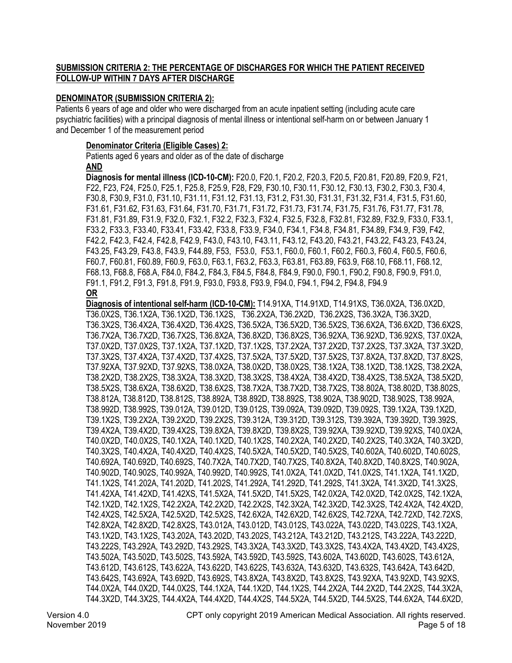# **SUBMISSION CRITERIA 2: THE PERCENTAGE OF DISCHARGES FOR WHICH THE PATIENT RECEIVED FOLLOW-UP WITHIN 7 DAYS AFTER DISCHARGE**

### **DENOMINATOR (SUBMISSION CRITERIA 2):**

Patients 6 years of age and older who were discharged from an acute inpatient setting (including acute care psychiatric facilities) with a principal diagnosis of mental illness or intentional self-harm on or between January 1 and December 1 of the measurement period

### **Denominator Criteria (Eligible Cases) 2:**

Patients aged 6 years and older as of the date of discharge **AND**

**Diagnosis for mental illness (ICD-10-CM):** F20.0, F20.1, F20.2, F20.3, F20.5, F20.81, F20.89, F20.9, F21, F22, F23, F24, F25.0, F25.1, F25.8, F25.9, F28, F29, F30.10, F30.11, F30.12, F30.13, F30.2, F30.3, F30.4, F30.8, F30.9, F31.0, F31.10, F31.11, F31.12, F31.13, F31.2, F31.30, F31.31, F31.32, F31.4, F31.5, F31.60, F31.61, F31.62, F31.63, F31.64, F31.70, F31.71, F31.72, F31.73, F31.74, F31.75, F31.76, F31.77, F31.78, F31.81, F31.89, F31.9, F32.0, F32.1, F32.2, F32.3, F32.4, F32.5, F32.8, F32.81, F32.89, F32.9, F33.0, F33.1, F33.2, F33.3, F33.40, F33.41, F33.42, F33.8, F33.9, F34.0, F34.1, F34.8, F34.81, F34.89, F34.9, F39, F42, F42.2, F42.3, F42.4, F42.8, F42.9, F43.0, F43.10, F43.11, F43.12, F43.20, F43.21, F43.22, F43.23, F43.24, F43.25, F43.29, F43.8, F43.9, F44.89, F53, F53.0, F53.1, F60.0, F60.1, F60.2, F60.3, F60.4, F60.5, F60.6, F60.7, F60.81, F60.89, F60.9, F63.0, F63.1, F63.2, F63.3, F63.81, F63.89, F63.9, F68.10, F68.11, F68.12, F68.13, F68.8, F68.A, F84.0, F84.2, F84.3, F84.5, F84.8, F84.9, F90.0, F90.1, F90.2, F90.8, F90.9, F91.0, F91.1, F91.2, F91.3, F91.8, F91.9, F93.0, F93.8, F93.9, F94.0, F94.1, F94.2, F94.8, F94.9 **OR**

Version 4.0 CPT only copyright 2019 American Medical Association. All rights reserved. **Diagnosis of intentional self-harm (ICD-10-CM):** T14.91XA, T14.91XD, T14.91XS, T36.0X2A, T36.0X2D, T36.0X2S, T36.1X2A, T36.1X2D, T36.1X2S, T36.2X2A, T36.2X2D, T36.2X2S, T36.3X2A, T36.3X2D, T36.3X2S, T36.4X2A, T36.4X2D, T36.4X2S, T36.5X2A, T36.5X2D, T36.5X2S, T36.6X2A, T36.6X2D, T36.6X2S, T36.7X2A, T36.7X2D, T36.7X2S, T36.8X2A, T36.8X2D, T36.8X2S, T36.92XA, T36.92XD, T36.92XS, T37.0X2A, T37.0X2D, T37.0X2S, T37.1X2A, T37.1X2D, T37.1X2S, T37.2X2A, T37.2X2D, T37.2X2S, T37.3X2A, T37.3X2D, T37.3X2S, T37.4X2A, T37.4X2D, T37.4X2S, T37.5X2A, T37.5X2D, T37.5X2S, T37.8X2A, T37.8X2D, T37.8X2S, T37.92XA, T37.92XD, T37.92XS, T38.0X2A, T38.0X2D, T38.0X2S, T38.1X2A, T38.1X2D, T38.1X2S, T38.2X2A, T38.2X2D, T38.2X2S, T38.3X2A, T38.3X2D, T38.3X2S, T38.4X2A, T38.4X2D, T38.4X2S, T38.5X2A, T38.5X2D, T38.5X2S, T38.6X2A, T38.6X2D, T38.6X2S, T38.7X2A, T38.7X2D, T38.7X2S, T38.802A, T38.802D, T38.802S, T38.812A, T38.812D, T38.812S, T38.892A, T38.892D, T38.892S, T38.902A, T38.902D, T38.902S, T38.992A, T38.992D, T38.992S, T39.012A, T39.012D, T39.012S, T39.092A, T39.092D, T39.092S, T39.1X2A, T39.1X2D, T39.1X2S, T39.2X2A, T39.2X2D, T39.2X2S, T39.312A, T39.312D, T39.312S, T39.392A, T39.392D, T39.392S, T39.4X2A, T39.4X2D, T39.4X2S, T39.8X2A, T39.8X2D, T39.8X2S, T39.92XA, T39.92XD, T39.92XS, T40.0X2A, T40.0X2D, T40.0X2S, T40.1X2A, T40.1X2D, T40.1X2S, T40.2X2A, T40.2X2D, T40.2X2S, T40.3X2A, T40.3X2D, T40.3X2S, T40.4X2A, T40.4X2D, T40.4X2S, T40.5X2A, T40.5X2D, T40.5X2S, T40.602A, T40.602D, T40.602S, T40.692A, T40.692D, T40.692S, T40.7X2A, T40.7X2D, T40.7X2S, T40.8X2A, T40.8X2D, T40.8X2S, T40.902A, T40.902D, T40.902S, T40.992A, T40.992D, T40.992S, T41.0X2A, T41.0X2D, T41.0X2S, T41.1X2A, T41.1X2D, T41.1X2S, T41.202A, T41.202D, T41.202S, T41.292A, T41.292D, T41.292S, T41.3X2A, T41.3X2D, T41.3X2S, T41.42XA, T41.42XD, T41.42XS, T41.5X2A, T41.5X2D, T41.5X2S, T42.0X2A, T42.0X2D, T42.0X2S, T42.1X2A, T42.1X2D, T42.1X2S, T42.2X2A, T42.2X2D, T42.2X2S, T42.3X2A, T42.3X2D, T42.3X2S, T42.4X2A, T42.4X2D, T42.4X2S, T42.5X2A, T42.5X2D, T42.5X2S, T42.6X2A, T42.6X2D, T42.6X2S, T42.72XA, T42.72XD, T42.72XS, T42.8X2A, T42.8X2D, T42.8X2S, T43.012A, T43.012D, T43.012S, T43.022A, T43.022D, T43.022S, T43.1X2A, T43.1X2D, T43.1X2S, T43.202A, T43.202D, T43.202S, T43.212A, T43.212D, T43.212S, T43.222A, T43.222D, T43.222S, T43.292A, T43.292D, T43.292S, T43.3X2A, T43.3X2D, T43.3X2S, T43.4X2A, T43.4X2D, T43.4X2S, T43.502A, T43.502D, T43.502S, T43.592A, T43.592D, T43.592S, T43.602A, T43.602D, T43.602S, T43.612A, T43.612D, T43.612S, T43.622A, T43.622D, T43.622S, T43.632A, T43.632D, T43.632S, T43.642A, T43.642D, T43.642S, T43.692A, T43.692D, T43.692S, T43.8X2A, T43.8X2D, T43.8X2S, T43.92XA, T43.92XD, T43.92XS, T44.0X2A, T44.0X2D, T44.0X2S, T44.1X2A, T44.1X2D, T44.1X2S, T44.2X2A, T44.2X2D, T44.2X2S, T44.3X2A, T44.3X2D, T44.3X2S, T44.4X2A, T44.4X2D, T44.4X2S, T44.5X2A, T44.5X2D, T44.5X2S, T44.6X2A, T44.6X2D,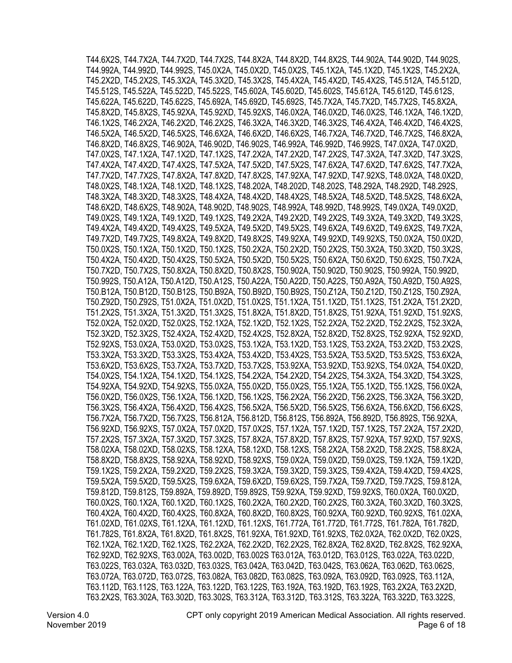T44.6X2S, T44.7X2A, T44.7X2D, T44.7X2S, T44.8X2A, T44.8X2D, T44.8X2S, T44.902A, T44.902D, T44.902S, T44.992A, T44.992D, T44.992S, T45.0X2A, T45.0X2D, T45.0X2S, T45.1X2A, T45.1X2D, T45.1X2S, T45.2X2A, T45.2X2D, T45.2X2S, T45.3X2A, T45.3X2D, T45.3X2S, T45.4X2A, T45.4X2D, T45.4X2S, T45.512A, T45.512D, T45.512S, T45.522A, T45.522D, T45.522S, T45.602A, T45.602D, T45.602S, T45.612A, T45.612D, T45.612S, T45.622A, T45.622D, T45.622S, T45.692A, T45.692D, T45.692S, T45.7X2A, T45.7X2D, T45.7X2S, T45.8X2A, T45.8X2D, T45.8X2S, T45.92XA, T45.92XD, T45.92XS, T46.0X2A, T46.0X2D, T46.0X2S, T46.1X2A, T46.1X2D, T46.1X2S, T46.2X2A, T46.2X2D, T46.2X2S, T46.3X2A, T46.3X2D, T46.3X2S, T46.4X2A, T46.4X2D, T46.4X2S, T46.5X2A, T46.5X2D, T46.5X2S, T46.6X2A, T46.6X2D, T46.6X2S, T46.7X2A, T46.7X2D, T46.7X2S, T46.8X2A, T46.8X2D, T46.8X2S, T46.902A, T46.902D, T46.902S, T46.992A, T46.992D, T46.992S, T47.0X2A, T47.0X2D, T47.0X2S, T47.1X2A, T47.1X2D, T47.1X2S, T47.2X2A, T47.2X2D, T47.2X2S, T47.3X2A, T47.3X2D, T47.3X2S, T47.4X2A, T47.4X2D, T47.4X2S, T47.5X2A, T47.5X2D, T47.5X2S, T47.6X2A, T47.6X2D, T47.6X2S, T47.7X2A, T47.7X2D, T47.7X2S, T47.8X2A, T47.8X2D, T47.8X2S, T47.92XA, T47.92XD, T47.92XS, T48.0X2A, T48.0X2D, T48.0X2S, T48.1X2A, T48.1X2D, T48.1X2S, T48.202A, T48.202D, T48.202S, T48.292A, T48.292D, T48.292S, T48.3X2A, T48.3X2D, T48.3X2S, T48.4X2A, T48.4X2D, T48.4X2S, T48.5X2A, T48.5X2D, T48.5X2S, T48.6X2A, T48.6X2D, T48.6X2S, T48.902A, T48.902D, T48.902S, T48.992A, T48.992D, T48.992S, T49.0X2A, T49.0X2D, T49.0X2S, T49.1X2A, T49.1X2D, T49.1X2S, T49.2X2A, T49.2X2D, T49.2X2S, T49.3X2A, T49.3X2D, T49.3X2S, T49.4X2A, T49.4X2D, T49.4X2S, T49.5X2A, T49.5X2D, T49.5X2S, T49.6X2A, T49.6X2D, T49.6X2S, T49.7X2A, T49.7X2D, T49.7X2S, T49.8X2A, T49.8X2D, T49.8X2S, T49.92XA, T49.92XD, T49.92XS, T50.0X2A, T50.0X2D, T50.0X2S, T50.1X2A, T50.1X2D, T50.1X2S, T50.2X2A, T50.2X2D, T50.2X2S, T50.3X2A, T50.3X2D, T50.3X2S, T50.4X2A, T50.4X2D, T50.4X2S, T50.5X2A, T50.5X2D, T50.5X2S, T50.6X2A, T50.6X2D, T50.6X2S, T50.7X2A, T50.7X2D, T50.7X2S, T50.8X2A, T50.8X2D, T50.8X2S, T50.902A, T50.902D, T50.902S, T50.992A, T50.992D, T50.992S, T50.A12A, T50.A12D, T50.A12S, T50.A22A, T50.A22D, T50.A22S, T50.A92A, T50.A92D, T50.A92S, T50.B12A, T50.B12D, T50.B12S, T50.B92A, T50.B92D, T50.B92S, T50.Z12A, T50.Z12D, T50.Z12S, T50.Z92A, T50.Z92D, T50.Z92S, T51.0X2A, T51.0X2D, T51.0X2S, T51.1X2A, T51.1X2D, T51.1X2S, T51.2X2A, T51.2X2D, T51.2X2S, T51.3X2A, T51.3X2D, T51.3X2S, T51.8X2A, T51.8X2D, T51.8X2S, T51.92XA, T51.92XD, T51.92XS, T52.0X2A, T52.0X2D, T52.0X2S, T52.1X2A, T52.1X2D, T52.1X2S, T52.2X2A, T52.2X2D, T52.2X2S, T52.3X2A, T52.3X2D, T52.3X2S, T52.4X2A, T52.4X2D, T52.4X2S, T52.8X2A, T52.8X2D, T52.8X2S, T52.92XA, T52.92XD, T52.92XS, T53.0X2A, T53.0X2D, T53.0X2S, T53.1X2A, T53.1X2D, T53.1X2S, T53.2X2A, T53.2X2D, T53.2X2S, T53.3X2A, T53.3X2D, T53.3X2S, T53.4X2A, T53.4X2D, T53.4X2S, T53.5X2A, T53.5X2D, T53.5X2S, T53.6X2A, T53.6X2D, T53.6X2S, T53.7X2A, T53.7X2D, T53.7X2S, T53.92XA, T53.92XD, T53.92XS, T54.0X2A, T54.0X2D, T54.0X2S, T54.1X2A, T54.1X2D, T54.1X2S, T54.2X2A, T54.2X2D, T54.2X2S, T54.3X2A, T54.3X2D, T54.3X2S, T54.92XA, T54.92XD, T54.92XS, T55.0X2A, T55.0X2D, T55.0X2S, T55.1X2A, T55.1X2D, T55.1X2S, T56.0X2A, T56.0X2D, T56.0X2S, T56.1X2A, T56.1X2D, T56.1X2S, T56.2X2A, T56.2X2D, T56.2X2S, T56.3X2A, T56.3X2D, T56.3X2S, T56.4X2A, T56.4X2D, T56.4X2S, T56.5X2A, T56.5X2D, T56.5X2S, T56.6X2A, T56.6X2D, T56.6X2S, T56.7X2A, T56.7X2D, T56.7X2S, T56.812A, T56.812D, T56.812S, T56.892A, T56.892D, T56.892S, T56.92XA, T56.92XD, T56.92XS, T57.0X2A, T57.0X2D, T57.0X2S, T57.1X2A, T57.1X2D, T57.1X2S, T57.2X2A, T57.2X2D, T57.2X2S, T57.3X2A, T57.3X2D, T57.3X2S, T57.8X2A, T57.8X2D, T57.8X2S, T57.92XA, T57.92XD, T57.92XS, T58.02XA, T58.02XD, T58.02XS, T58.12XA, T58.12XD, T58.12XS, T58.2X2A, T58.2X2D, T58.2X2S, T58.8X2A, T58.8X2D, T58.8X2S, T58.92XA, T58.92XD, T58.92XS, T59.0X2A, T59.0X2D, T59.0X2S, T59.1X2A, T59.1X2D, T59.1X2S, T59.2X2A, T59.2X2D, T59.2X2S, T59.3X2A, T59.3X2D, T59.3X2S, T59.4X2A, T59.4X2D, T59.4X2S, T59.5X2A, T59.5X2D, T59.5X2S, T59.6X2A, T59.6X2D, T59.6X2S, T59.7X2A, T59.7X2D, T59.7X2S, T59.812A, T59.812D, T59.812S, T59.892A, T59.892D, T59.892S, T59.92XA, T59.92XD, T59.92XS, T60.0X2A, T60.0X2D, T60.0X2S, T60.1X2A, T60.1X2D, T60.1X2S, T60.2X2A, T60.2X2D, T60.2X2S, T60.3X2A, T60.3X2D, T60.3X2S, T60.4X2A, T60.4X2D, T60.4X2S, T60.8X2A, T60.8X2D, T60.8X2S, T60.92XA, T60.92XD, T60.92XS, T61.02XA, T61.02XD, T61.02XS, T61.12XA, T61.12XD, T61.12XS, T61.772A, T61.772D, T61.772S, T61.782A, T61.782D, T61.782S, T61.8X2A, T61.8X2D, T61.8X2S, T61.92XA, T61.92XD, T61.92XS, T62.0X2A, T62.0X2D, T62.0X2S, T62.1X2A, T62.1X2D, T62.1X2S, T62.2X2A, T62.2X2D, T62.2X2S, T62.8X2A, T62.8X2D, T62.8X2S, T62.92XA, T62.92XD, T62.92XS, T63.002A, T63.002D, T63.002S T63.012A, T63.012D, T63.012S, T63.022A, T63.022D, T63.022S, T63.032A, T63.032D, T63.032S, T63.042A, T63.042D, T63.042S, T63.062A, T63.062D, T63.062S, T63.072A, T63.072D, T63.072S, T63.082A, T63.082D, T63.082S, T63.092A, T63.092D, T63.092S, T63.112A, T63.112D, T63.112S, T63.122A, T63.122D, T63.122S, T63.192A, T63.192D, T63.192S, T63.2X2A, T63.2X2D, T63.2X2S, T63.302A, T63.302D, T63.302S, T63.312A, T63.312D, T63.312S, T63.322A, T63.322D, T63.322S,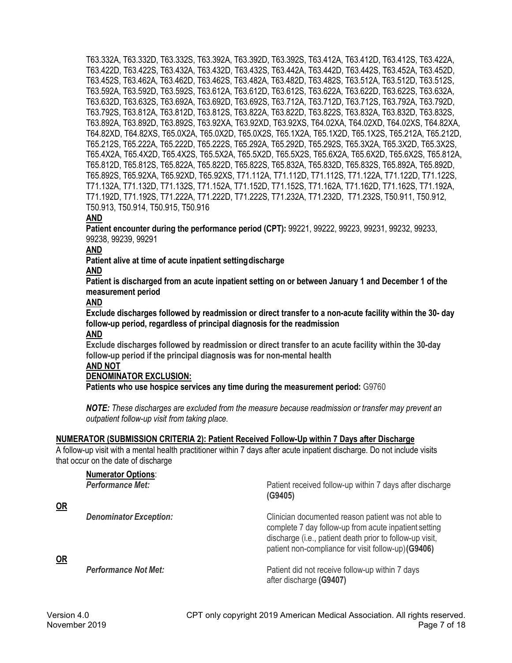T63.332A, T63.332D, T63.332S, T63.392A, T63.392D, T63.392S, T63.412A, T63.412D, T63.412S, T63.422A, T63.422D, T63.422S, T63.432A, T63.432D, T63.432S, T63.442A, T63.442D, T63.442S, T63.452A, T63.452D, T63.452S, T63.462A, T63.462D, T63.462S, T63.482A, T63.482D, T63.482S, T63.512A, T63.512D, T63.512S, T63.592A, T63.592D, T63.592S, T63.612A, T63.612D, T63.612S, T63.622A, T63.622D, T63.622S, T63.632A, T63.632D, T63.632S, T63.692A, T63.692D, T63.692S, T63.712A, T63.712D, T63.712S, T63.792A, T63.792D, T63.792S, T63.812A, T63.812D, T63.812S, T63.822A, T63.822D, T63.822S, T63.832A, T63.832D, T63.832S, T63.892A, T63.892D, T63.892S, T63.92XA, T63.92XD, T63.92XS, T64.02XA, T64.02XD, T64.02XS, T64.82XA, T64.82XD, T64.82XS, T65.0X2A, T65.0X2D, T65.0X2S, T65.1X2A, T65.1X2D, T65.1X2S, T65.212A, T65.212D, T65.212S, T65.222A, T65.222D, T65.222S, T65.292A, T65.292D, T65.292S, T65.3X2A, T65.3X2D, T65.3X2S, T65.4X2A, T65.4X2D, T65.4X2S, T65.5X2A, T65.5X2D, T65.5X2S, T65.6X2A, T65.6X2D, T65.6X2S, T65.812A, T65.812D, T65.812S, T65.822A, T65.822D, T65.822S, T65.832A, T65.832D, T65.832S, T65.892A, T65.892D, T65.892S, T65.92XA, T65.92XD, T65.92XS, T71.112A, T71.112D, T71.112S, T71.122A, T71.122D, T71.122S, T71.132A, T71.132D, T71.132S, T71.152A, T71.152D, T71.152S, T71.162A, T71.162D, T71.162S, T71.192A, T71.192D, T71.192S, T71.222A, T71.222D, T71.222S, T71.232A, T71.232D, T71.232S, T50.911, T50.912, T50.913, T50.914, T50.915, T50.916

# **AND**

**Patient encounter during the performance period (CPT):** 99221, 99222, 99223, 99231, 99232, 99233, 99238, 99239, 99291

### **AND**

**Patient alive at time of acute inpatient settingdischarge** 

# **AND**

**Patient is discharged from an acute inpatient setting on or between January 1 and December 1 of the measurement period**

# **AND**

**Exclude discharges followed by readmission or direct transfer to a non-acute facility within the 30- day follow-up period, regardless of principal diagnosis for the readmission**

# **AND**

**Exclude discharges followed by readmission or direct transfer to an acute facility within the 30-day follow-up period if the principal diagnosis was for non-mental health**

### **AND NOT**

# **DENOMINATOR EXCLUSION:**

**Patients who use hospice services any time during the measurement period:** G9760

*NOTE: These discharges are excluded from the measure because readmission or transfer may prevent an outpatient follow-up visit from taking place.*

# **NUMERATOR (SUBMISSION CRITERIA 2): Patient Received Follow-Up within 7 Days after Discharge**

A follow-up visit with a mental health practitioner within 7 days after acute inpatient discharge. Do not include visits that occur on the date of discharge

| $OR$ | <b>Numerator Options:</b><br><b>Performance Met:</b> | Patient received follow-up within 7 days after discharge<br>(G9405)                                                                                                                                                             |
|------|------------------------------------------------------|---------------------------------------------------------------------------------------------------------------------------------------------------------------------------------------------------------------------------------|
|      | <b>Denominator Exception:</b>                        | Clinician documented reason patient was not able to<br>complete 7 day follow-up from acute inpatient setting<br>discharge (i.e., patient death prior to follow-up visit,<br>patient non-compliance for visit follow-up) (G9406) |
| OR   | <b>Performance Not Met:</b>                          | Patient did not receive follow-up within 7 days<br>after discharge (G9407)                                                                                                                                                      |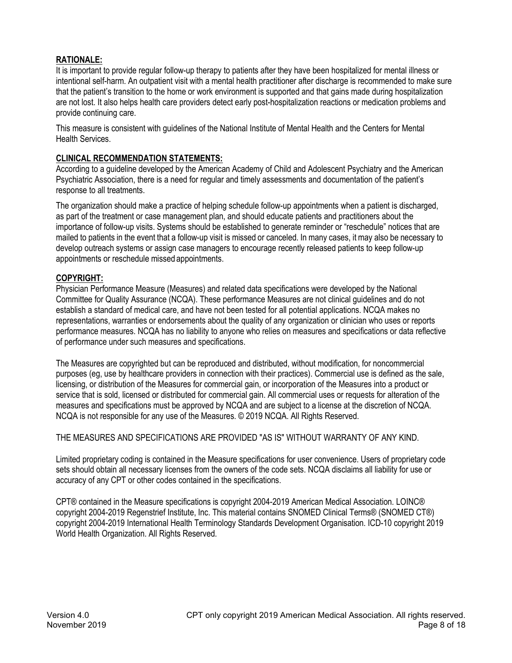# **RATIONALE:**

It is important to provide regular follow-up therapy to patients after they have been hospitalized for mental illness or intentional self-harm. An outpatient visit with a mental health practitioner after discharge is recommended to make sure that the patient's transition to the home or work environment is supported and that gains made during hospitalization are not lost. It also helps health care providers detect early post-hospitalization reactions or medication problems and provide continuing care.

This measure is consistent with guidelines of the National Institute of Mental Health and the Centers for Mental Health Services.

# **CLINICAL RECOMMENDATION STATEMENTS:**

According to a guideline developed by the American Academy of Child and Adolescent Psychiatry and the American Psychiatric Association, there is a need for regular and timely assessments and documentation of the patient's response to all treatments.

The organization should make a practice of helping schedule follow-up appointments when a patient is discharged, as part of the treatment or case management plan, and should educate patients and practitioners about the importance of follow-up visits. Systems should be established to generate reminder or "reschedule" notices that are mailed to patients in the event that a follow-up visit is missed or canceled. In many cases, it may also be necessary to develop outreach systems or assign case managers to encourage recently released patients to keep follow-up appointments or reschedule missed appointments.

# **COPYRIGHT:**

Physician Performance Measure (Measures) and related data specifications were developed by the National Committee for Quality Assurance (NCQA). These performance Measures are not clinical guidelines and do not establish a standard of medical care, and have not been tested for all potential applications. NCQA makes no representations, warranties or endorsements about the quality of any organization or clinician who uses or reports performance measures. NCQA has no liability to anyone who relies on measures and specifications or data reflective of performance under such measures and specifications.

The Measures are copyrighted but can be reproduced and distributed, without modification, for noncommercial purposes (eg, use by healthcare providers in connection with their practices). Commercial use is defined as the sale, licensing, or distribution of the Measures for commercial gain, or incorporation of the Measures into a product or service that is sold, licensed or distributed for commercial gain. All commercial uses or requests for alteration of the measures and specifications must be approved by NCQA and are subject to a license at the discretion of NCQA. NCQA is not responsible for any use of the Measures. © 2019 NCQA. All Rights Reserved.

THE MEASURES AND SPECIFICATIONS ARE PROVIDED "AS IS" WITHOUT WARRANTY OF ANY KIND.

Limited proprietary coding is contained in the Measure specifications for user convenience. Users of proprietary code sets should obtain all necessary licenses from the owners of the code sets. NCQA disclaims all liability for use or accuracy of any CPT or other codes contained in the specifications.

CPT® contained in the Measure specifications is copyright 2004-2019 American Medical Association. LOINC® copyright 2004-2019 Regenstrief Institute, Inc. This material contains SNOMED Clinical Terms® (SNOMED CT®) copyright 2004-2019 International Health Terminology Standards Development Organisation. ICD-10 copyright 2019 World Health Organization. All Rights Reserved.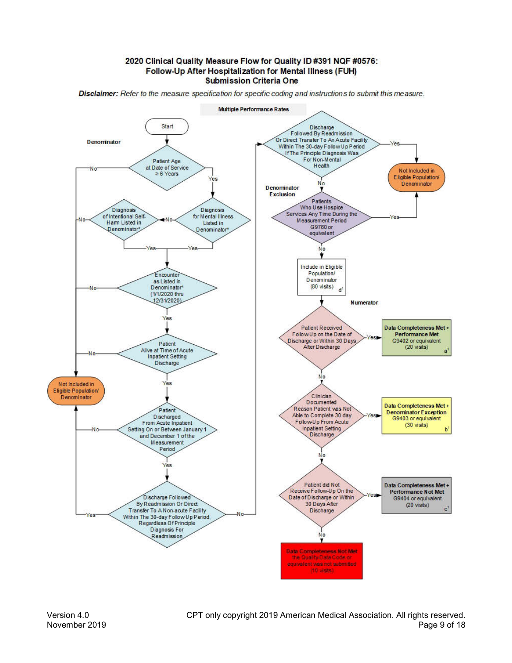2020 Clinical Quality Measure Flow for Quality ID #391 NQF #0576: Follow-Up After Hospitalization for Mental Illness (FUH) **Submission Criteria One** 





Version 4.0 CPT only copyright 2019 American Medical Association. All rights reserved. November 2019 Page 9 of 18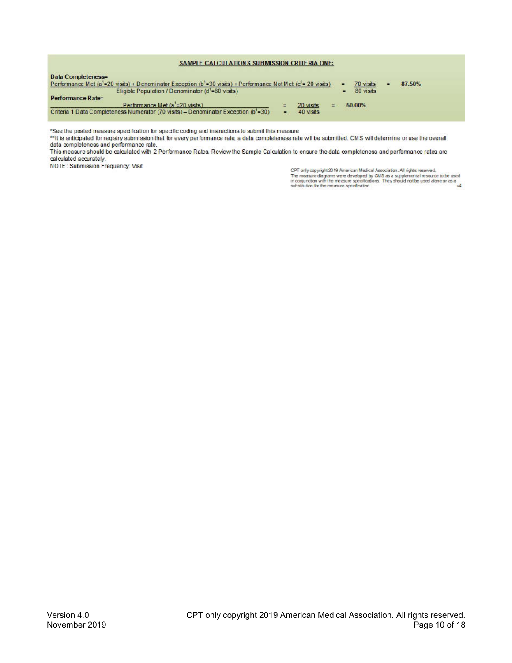#### SAMPLE CALCULATIONS SUBMISSION CRITE RIA ONE:

| Data Completeness=<br>Performance Met (a <sup>1</sup> =20 visits) + Denominator Exception (b <sup>1</sup> =30 visits) + Performance Not Met (c <sup>1</sup> =20 visits) |   |           |        | 70 visits | 87.50% |  |
|-------------------------------------------------------------------------------------------------------------------------------------------------------------------------|---|-----------|--------|-----------|--------|--|
| Eligible Population / Denominator $(d' = 80$ visits)                                                                                                                    |   |           |        | 80 visits |        |  |
| Performance Rate=                                                                                                                                                       |   |           |        |           |        |  |
| Performance Met (a = 20 visits)                                                                                                                                         |   | 20 visits | 50.00% |           |        |  |
| Criteria 1 Data Completeness Numerator (70 visits) - Denominator Exception (b <sup>1</sup> =30)                                                                         | Ξ | 40 visits |        |           |        |  |

\*See the posted measure specification for specific coding and instructions to submit this measure

the anticipated for registry submission that for every performance rate, a data completeness rate will be submitted. CMS will determine or use the overall data completeness and performance rate.

This measure should be calculated with 2 Performance Rates. Review the Sample Calculation to ensure the data completeness and performance rates are calculated accurately.

NOTE: Submission Frequency: Visit

CPT only copyright 2019 American Medical Association. All rights reserved.<br>The measure diagrams were developed by CMS as a supplemental resource to be used<br>in conjunction with the measure specifications. They should not be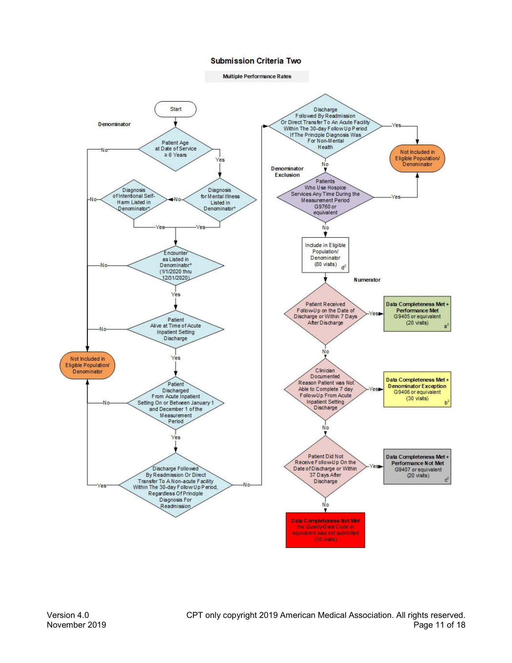#### **Submission Criteria Two**

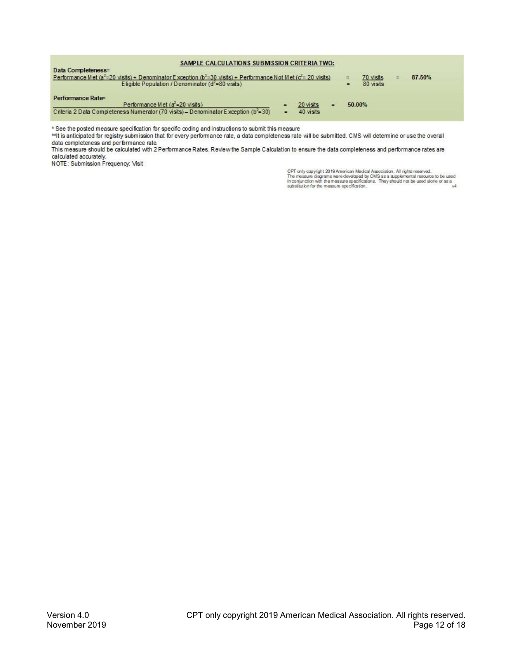| SAMPLE CALCULATIONS SUBMISSION CRITERIA TWO:                                                                                                                                                        |                      |                        |  |  |                        |        |  |
|-----------------------------------------------------------------------------------------------------------------------------------------------------------------------------------------------------|----------------------|------------------------|--|--|------------------------|--------|--|
| Data Completeness=<br>Performance Met ( $a^2$ =20 visits) + Denominator Exception ( $b^2$ =30 visits) + Performance Not Met ( $c^2$ =20 visits)<br>Eligible Population / Denominator (d'=80 visits) |                      |                        |  |  | 70 visits<br>80 visits | 87.50% |  |
| Performance Rate=<br>Performance Met (a <sup>2</sup> =20 visits)<br>Criteria 2 Data Completeness Numerator (70 visits) - Denominator Exception ( $b^2$ =30)                                         | $\equiv$<br>$\equiv$ | 20 visits<br>40 visits |  |  | 50.00%                 |        |  |

\* See the posted measure specification for specific coding and instructions to submit this measure

\*\* It is anticipated for registry submission that for every performance rate, a data completeness rate will be submitted. CMS will determine or use the overall data completeness and performance rate.

This measure should be calculated with 2 Performance Rates. Review the Sample Calculation to ensure the data completeness and performance rates are calculated accurately.

NOTE: Submission Frequency: Visit

CPT only copyright 2019 American Medical Association. All rights reserved.<br>The measure diagrams were developed by CMS as a supplemental resource to be used<br>in compuration with the measure specifications. They should not be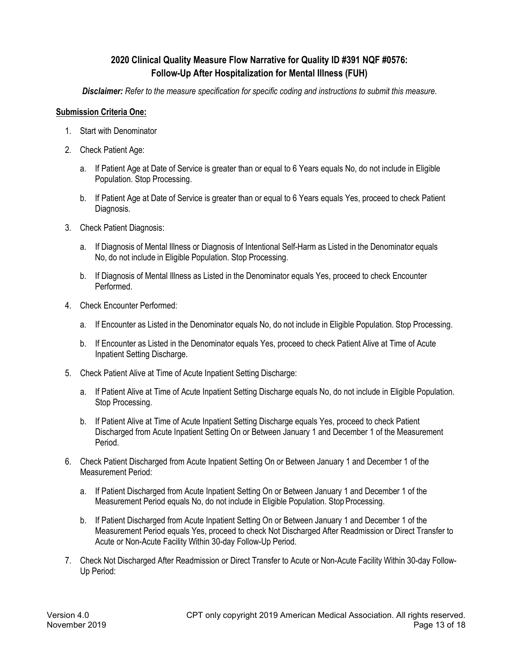# **2020 Clinical Quality Measure Flow Narrative for Quality ID #391 NQF #0576: Follow-Up After Hospitalization for Mental Illness (FUH)**

*Disclaimer: Refer to the measure specification for specific coding and instructions to submit this measure*.

# **Submission Criteria One:**

- 1. Start with Denominator
- 2. Check Patient Age:
	- a. If Patient Age at Date of Service is greater than or equal to 6 Years equals No, do not include in Eligible Population. Stop Processing.
	- b. If Patient Age at Date of Service is greater than or equal to 6 Years equals Yes, proceed to check Patient Diagnosis.
- 3. Check Patient Diagnosis:
	- a. If Diagnosis of Mental Illness or Diagnosis of Intentional Self-Harm as Listed in the Denominator equals No, do not include in Eligible Population. Stop Processing.
	- b. If Diagnosis of Mental Illness as Listed in the Denominator equals Yes, proceed to check Encounter Performed.
- 4. Check Encounter Performed:
	- a. If Encounter as Listed in the Denominator equals No, do not include in Eligible Population. Stop Processing.
	- b. If Encounter as Listed in the Denominator equals Yes, proceed to check Patient Alive at Time of Acute Inpatient Setting Discharge.
- 5. Check Patient Alive at Time of Acute Inpatient Setting Discharge:
	- a. If Patient Alive at Time of Acute Inpatient Setting Discharge equals No, do not include in Eligible Population. Stop Processing.
	- b. If Patient Alive at Time of Acute Inpatient Setting Discharge equals Yes, proceed to check Patient Discharged from Acute Inpatient Setting On or Between January 1 and December 1 of the Measurement Period.
- 6. Check Patient Discharged from Acute Inpatient Setting On or Between January 1 and December 1 of the Measurement Period:
	- a. If Patient Discharged from Acute Inpatient Setting On or Between January 1 and December 1 of the Measurement Period equals No, do not include in Eligible Population. Stop Processing.
	- b. If Patient Discharged from Acute Inpatient Setting On or Between January 1 and December 1 of the Measurement Period equals Yes, proceed to check Not Discharged After Readmission or Direct Transfer to Acute or Non-Acute Facility Within 30-day Follow-Up Period.
- 7. Check Not Discharged After Readmission or Direct Transfer to Acute or Non-Acute Facility Within 30-day Follow-Up Period: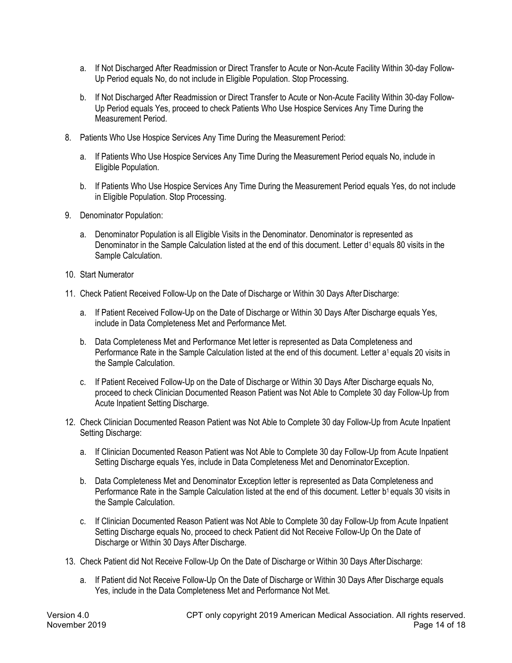- a. If Not Discharged After Readmission or Direct Transfer to Acute or Non-Acute Facility Within 30-day Follow-Up Period equals No, do not include in Eligible Population. Stop Processing.
- b. If Not Discharged After Readmission or Direct Transfer to Acute or Non-Acute Facility Within 30-day Follow-Up Period equals Yes, proceed to check Patients Who Use Hospice Services Any Time During the Measurement Period.
- 8. Patients Who Use Hospice Services Any Time During the Measurement Period:
	- a. If Patients Who Use Hospice Services Any Time During the Measurement Period equals No, include in Eligible Population.
	- b. If Patients Who Use Hospice Services Any Time During the Measurement Period equals Yes, do not include in Eligible Population. Stop Processing.
- 9. Denominator Population:
	- a. Denominator Population is all Eligible Visits in the Denominator. Denominator is represented as Denominator in the Sample Calculation listed at the end of this document. Letter d<sup>1</sup> equals 80 visits in the Sample Calculation.
- 10. Start Numerator
- 11. Check Patient Received Follow-Up on the Date of Discharge or Within 30 Days After Discharge:
	- a. If Patient Received Follow-Up on the Date of Discharge or Within 30 Days After Discharge equals Yes, include in Data Completeness Met and Performance Met.
	- b. Data Completeness Met and Performance Met letter is represented as Data Completeness and Performance Rate in the Sample Calculation listed at the end of this document. Letter a<sup>1</sup> equals 20 visits in the Sample Calculation.
	- c. If Patient Received Follow-Up on the Date of Discharge or Within 30 Days After Discharge equals No, proceed to check Clinician Documented Reason Patient was Not Able to Complete 30 day Follow-Up from Acute Inpatient Setting Discharge.
- 12. Check Clinician Documented Reason Patient was Not Able to Complete 30 day Follow-Up from Acute Inpatient Setting Discharge:
	- a. If Clinician Documented Reason Patient was Not Able to Complete 30 day Follow-Up from Acute Inpatient Setting Discharge equals Yes, include in Data Completeness Met and DenominatorException.
	- b. Data Completeness Met and Denominator Exception letter is represented as Data Completeness and Performance Rate in the Sample Calculation listed at the end of this document. Letter b<sup>1</sup> equals 30 visits in the Sample Calculation.
	- c. If Clinician Documented Reason Patient was Not Able to Complete 30 day Follow-Up from Acute Inpatient Setting Discharge equals No, proceed to check Patient did Not Receive Follow-Up On the Date of Discharge or Within 30 Days After Discharge.
- 13. Check Patient did Not Receive Follow-Up On the Date of Discharge or Within 30 Days After Discharge:
	- a. If Patient did Not Receive Follow-Up On the Date of Discharge or Within 30 Days After Discharge equals Yes, include in the Data Completeness Met and Performance Not Met.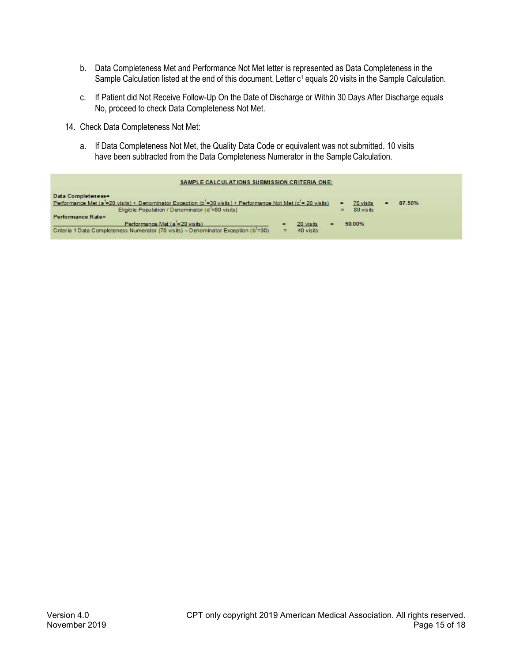- b. Data Completeness Met and Performance Not Met letter is represented as Data Completeness in the Sample Calculation listed at the end of this document. Letter c<sup>1</sup> equals 20 visits in the Sample Calculation.
- c. If Patient did Not Receive Follow-Up On the Date of Discharge or Within 30 Days After Discharge equals No, proceed to check Data Completeness Not Met.
- 14. Check Data Completeness Not Met:
	- a. If Data Completeness Not Met, the Quality Data Code or equivalent was not submitted. 10 visits have been subtracted from the Data Completeness Numerator in the Sample Calculation.

| <b>SAMPLE CALCULATIONS SUBMISSION CRITERIA ONE:</b>                                                                                            |   |           |                  |        |  |
|------------------------------------------------------------------------------------------------------------------------------------------------|---|-----------|------------------|--------|--|
| Data Completeness=<br>Performance Met (a =20 visits) + Denominator Exception (b =30 visits) + Performance Not Met (c <sup>1</sup> = 20 visits) |   |           | 70 visits<br>Ξ   | 87.50% |  |
| Eligible Population / Denominator (d'=80 visits)                                                                                               |   |           | 80 visits<br>$=$ |        |  |
| Performance Rate=                                                                                                                              |   |           |                  |        |  |
| Performance Met (a = 20 visits)                                                                                                                | Ξ | 20 visits | 50.00%           |        |  |
| Criteria 1 Data Completeness Numerator (70 visits) - Denominator Exception (b <sup>1</sup> =30)                                                | = | 40 visits |                  |        |  |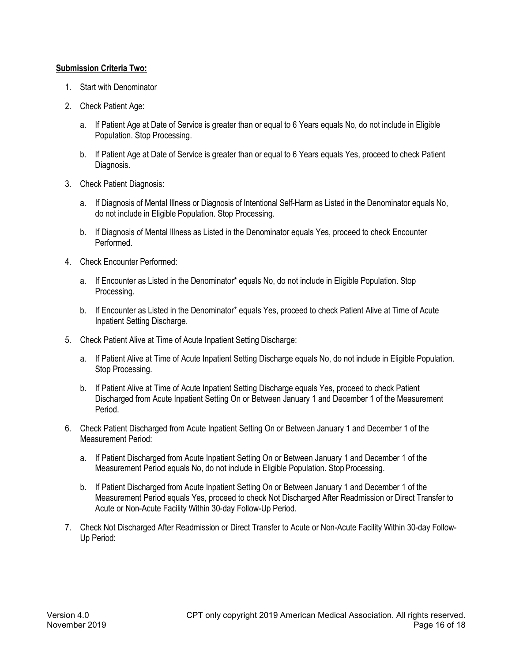# **Submission Criteria Two:**

- 1. Start with Denominator
- 2. Check Patient Age:
	- a. If Patient Age at Date of Service is greater than or equal to 6 Years equals No, do not include in Eligible Population. Stop Processing.
	- b. If Patient Age at Date of Service is greater than or equal to 6 Years equals Yes, proceed to check Patient Diagnosis.
- 3. Check Patient Diagnosis:
	- a. If Diagnosis of Mental Illness or Diagnosis of Intentional Self-Harm as Listed in the Denominator equals No, do not include in Eligible Population. Stop Processing.
	- b. If Diagnosis of Mental Illness as Listed in the Denominator equals Yes, proceed to check Encounter Performed.
- 4. Check Encounter Performed:
	- a. If Encounter as Listed in the Denominator\* equals No, do not include in Eligible Population. Stop Processing.
	- b. If Encounter as Listed in the Denominator\* equals Yes, proceed to check Patient Alive at Time of Acute Inpatient Setting Discharge.
- 5. Check Patient Alive at Time of Acute Inpatient Setting Discharge:
	- a. If Patient Alive at Time of Acute Inpatient Setting Discharge equals No, do not include in Eligible Population. Stop Processing.
	- b. If Patient Alive at Time of Acute Inpatient Setting Discharge equals Yes, proceed to check Patient Discharged from Acute Inpatient Setting On or Between January 1 and December 1 of the Measurement Period.
- 6. Check Patient Discharged from Acute Inpatient Setting On or Between January 1 and December 1 of the Measurement Period:
	- a. If Patient Discharged from Acute Inpatient Setting On or Between January 1 and December 1 of the Measurement Period equals No, do not include in Eligible Population. Stop Processing.
	- b. If Patient Discharged from Acute Inpatient Setting On or Between January 1 and December 1 of the Measurement Period equals Yes, proceed to check Not Discharged After Readmission or Direct Transfer to Acute or Non-Acute Facility Within 30-day Follow-Up Period.
- 7. Check Not Discharged After Readmission or Direct Transfer to Acute or Non-Acute Facility Within 30-day Follow-Up Period: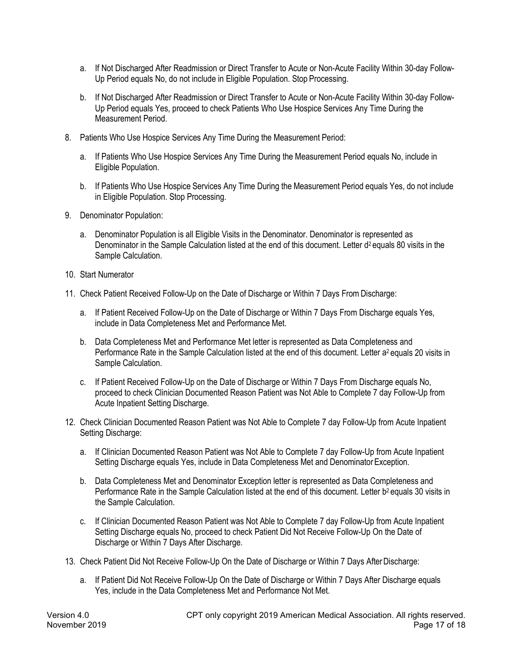- a. If Not Discharged After Readmission or Direct Transfer to Acute or Non-Acute Facility Within 30-day Follow-Up Period equals No, do not include in Eligible Population. Stop Processing.
- b. If Not Discharged After Readmission or Direct Transfer to Acute or Non-Acute Facility Within 30-day Follow-Up Period equals Yes, proceed to check Patients Who Use Hospice Services Any Time During the Measurement Period.
- 8. Patients Who Use Hospice Services Any Time During the Measurement Period:
	- a. If Patients Who Use Hospice Services Any Time During the Measurement Period equals No, include in Eligible Population.
	- b. If Patients Who Use Hospice Services Any Time During the Measurement Period equals Yes, do not include in Eligible Population. Stop Processing.
- 9. Denominator Population:
	- a. Denominator Population is all Eligible Visits in the Denominator. Denominator is represented as Denominator in the Sample Calculation listed at the end of this document. Letter d<sup>2</sup> equals 80 visits in the Sample Calculation.
- 10. Start Numerator
- 11. Check Patient Received Follow-Up on the Date of Discharge or Within 7 Days From Discharge:
	- a. If Patient Received Follow-Up on the Date of Discharge or Within 7 Days From Discharge equals Yes, include in Data Completeness Met and Performance Met.
	- b. Data Completeness Met and Performance Met letter is represented as Data Completeness and Performance Rate in the Sample Calculation listed at the end of this document. Letter a<sup>2</sup> equals 20 visits in Sample Calculation.
	- c. If Patient Received Follow-Up on the Date of Discharge or Within 7 Days From Discharge equals No, proceed to check Clinician Documented Reason Patient was Not Able to Complete 7 day Follow-Up from Acute Inpatient Setting Discharge.
- 12. Check Clinician Documented Reason Patient was Not Able to Complete 7 day Follow-Up from Acute Inpatient Setting Discharge:
	- a. If Clinician Documented Reason Patient was Not Able to Complete 7 day Follow-Up from Acute Inpatient Setting Discharge equals Yes, include in Data Completeness Met and DenominatorException.
	- b. Data Completeness Met and Denominator Exception letter is represented as Data Completeness and Performance Rate in the Sample Calculation listed at the end of this document. Letter b<sup>2</sup> equals 30 visits in the Sample Calculation.
	- c. If Clinician Documented Reason Patient was Not Able to Complete 7 day Follow-Up from Acute Inpatient Setting Discharge equals No, proceed to check Patient Did Not Receive Follow-Up On the Date of Discharge or Within 7 Days After Discharge.
- 13. Check Patient Did Not Receive Follow-Up On the Date of Discharge or Within 7 Days AfterDischarge:
	- a. If Patient Did Not Receive Follow-Up On the Date of Discharge or Within 7 Days After Discharge equals Yes, include in the Data Completeness Met and Performance Not Met.